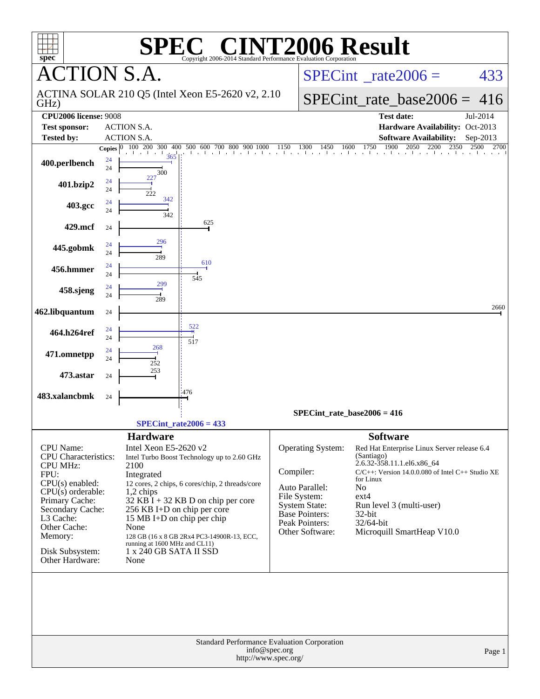| $spec^*$                                                                                                                                                                                                                            |                    | SPE®                                                                                                                                                                                                                | $\lceil$ ' $\mathbb{R}$ $\lceil$ '<br>Copyright 2006-2014 Standard Performance Evaluation Corporation                                                                                        | <b>INT2006 Result</b>                                                                                                                    |                               |                                                                                     |                                                                                                                                     |                                                       |
|-------------------------------------------------------------------------------------------------------------------------------------------------------------------------------------------------------------------------------------|--------------------|---------------------------------------------------------------------------------------------------------------------------------------------------------------------------------------------------------------------|----------------------------------------------------------------------------------------------------------------------------------------------------------------------------------------------|------------------------------------------------------------------------------------------------------------------------------------------|-------------------------------|-------------------------------------------------------------------------------------|-------------------------------------------------------------------------------------------------------------------------------------|-------------------------------------------------------|
| <b>CTION S.A.</b>                                                                                                                                                                                                                   |                    |                                                                                                                                                                                                                     |                                                                                                                                                                                              |                                                                                                                                          |                               |                                                                                     | $SPECint^{\circ}$ rate $2006 =$                                                                                                     | 433                                                   |
| GHz)                                                                                                                                                                                                                                |                    |                                                                                                                                                                                                                     | ACTINA SOLAR 210 Q5 (Intel Xeon E5-2620 v2, 2.10                                                                                                                                             |                                                                                                                                          |                               |                                                                                     | $SPECint_rate\_base2006 =$                                                                                                          | 416                                                   |
| <b>CPU2006 license: 9008</b><br><b>Test sponsor:</b>                                                                                                                                                                                |                    | <b>ACTION S.A.</b>                                                                                                                                                                                                  |                                                                                                                                                                                              |                                                                                                                                          |                               |                                                                                     | <b>Test date:</b><br>Hardware Availability: Oct-2013                                                                                | Jul-2014                                              |
| <b>Tested by:</b>                                                                                                                                                                                                                   |                    | <b>ACTION S.A.</b>                                                                                                                                                                                                  |                                                                                                                                                                                              |                                                                                                                                          |                               |                                                                                     | <b>Software Availability:</b>                                                                                                       | Sep-2013                                              |
|                                                                                                                                                                                                                                     | Copies $ 0\rangle$ |                                                                                                                                                                                                                     | 100 200 300 400 500 600 700 800 900 1000 1150 1300 1450 1600 1750 1900 2050 2200 2350                                                                                                        |                                                                                                                                          |                               |                                                                                     |                                                                                                                                     | 2700<br>2500                                          |
| 400.perlbench                                                                                                                                                                                                                       | 24<br>24           | 300                                                                                                                                                                                                                 |                                                                                                                                                                                              |                                                                                                                                          |                               |                                                                                     |                                                                                                                                     |                                                       |
| 401.bzip2                                                                                                                                                                                                                           | 24<br>24           | 227<br>222                                                                                                                                                                                                          |                                                                                                                                                                                              |                                                                                                                                          |                               |                                                                                     |                                                                                                                                     |                                                       |
| 403.gcc                                                                                                                                                                                                                             | 24<br>24           | 342<br>342                                                                                                                                                                                                          |                                                                                                                                                                                              |                                                                                                                                          |                               |                                                                                     |                                                                                                                                     |                                                       |
| 429.mcf                                                                                                                                                                                                                             | 24                 |                                                                                                                                                                                                                     | 625                                                                                                                                                                                          |                                                                                                                                          |                               |                                                                                     |                                                                                                                                     |                                                       |
| 445.gobmk                                                                                                                                                                                                                           | 24<br>24           | 296<br>289                                                                                                                                                                                                          |                                                                                                                                                                                              |                                                                                                                                          |                               |                                                                                     |                                                                                                                                     |                                                       |
| 456.hmmer                                                                                                                                                                                                                           | 24<br>24           |                                                                                                                                                                                                                     | 610<br>545                                                                                                                                                                                   |                                                                                                                                          |                               |                                                                                     |                                                                                                                                     |                                                       |
| 458.sjeng                                                                                                                                                                                                                           | 24<br>24           | 299<br>289                                                                                                                                                                                                          |                                                                                                                                                                                              |                                                                                                                                          |                               |                                                                                     |                                                                                                                                     |                                                       |
| 462.libquantum                                                                                                                                                                                                                      | 24                 |                                                                                                                                                                                                                     |                                                                                                                                                                                              |                                                                                                                                          |                               |                                                                                     |                                                                                                                                     | 2660                                                  |
| 464.h264ref                                                                                                                                                                                                                         | 24<br>24           |                                                                                                                                                                                                                     | 522<br>517                                                                                                                                                                                   |                                                                                                                                          |                               |                                                                                     |                                                                                                                                     |                                                       |
| 471.omnetpp                                                                                                                                                                                                                         | 24<br>24           | 268<br>252                                                                                                                                                                                                          |                                                                                                                                                                                              |                                                                                                                                          |                               |                                                                                     |                                                                                                                                     |                                                       |
| 473.astar                                                                                                                                                                                                                           | 24                 | 253                                                                                                                                                                                                                 |                                                                                                                                                                                              |                                                                                                                                          |                               |                                                                                     |                                                                                                                                     |                                                       |
| 483.xalancbmk                                                                                                                                                                                                                       | 24                 |                                                                                                                                                                                                                     | 476                                                                                                                                                                                          |                                                                                                                                          |                               |                                                                                     |                                                                                                                                     |                                                       |
|                                                                                                                                                                                                                                     |                    |                                                                                                                                                                                                                     |                                                                                                                                                                                              |                                                                                                                                          | $SPECint_rate_base2006 = 416$ |                                                                                     |                                                                                                                                     |                                                       |
|                                                                                                                                                                                                                                     |                    |                                                                                                                                                                                                                     | $SPECint_rate2006 = 433$                                                                                                                                                                     |                                                                                                                                          |                               |                                                                                     |                                                                                                                                     |                                                       |
| CPU Name:<br><b>CPU</b> Characteristics:<br><b>CPU MHz:</b><br>FPU:<br>$CPU(s)$ enabled:<br>$CPU(s)$ orderable:<br>Primary Cache:<br>Secondary Cache:<br>L3 Cache:<br>Other Cache:<br>Memory:<br>Disk Subsystem:<br>Other Hardware: |                    | <b>Hardware</b><br>Intel Xeon E5-2620 v2<br>2100<br>Integrated<br>1,2 chips<br>256 KB I+D on chip per core<br>15 MB I+D on chip per chip<br>None<br>running at 1600 MHz and CL11)<br>1 x 240 GB SATA II SSD<br>None | Intel Turbo Boost Technology up to 2.60 GHz<br>12 cores, 2 chips, 6 cores/chip, 2 threads/core<br>$32$ KB $\hat{I}$ + 32 KB D on chip per core<br>128 GB (16 x 8 GB 2Rx4 PC3-14900R-13, ECC, | Operating System:<br>Compiler:<br>Auto Parallel:<br>File System:<br>System State:<br>Base Pointers:<br>Peak Pointers:<br>Other Software: |                               | <b>Software</b><br>(Santiago)<br>for Linux<br>No<br>$ext{4}$<br>32-bit<br>32/64-bit | Red Hat Enterprise Linux Server release 6.4<br>2.6.32-358.11.1.el6.x86_64<br>Run level 3 (multi-user)<br>Microquill SmartHeap V10.0 | $C/C++$ : Version 14.0.0.080 of Intel $C++$ Studio XE |
|                                                                                                                                                                                                                                     |                    |                                                                                                                                                                                                                     | Standard Performance Evaluation Corporation                                                                                                                                                  |                                                                                                                                          |                               |                                                                                     |                                                                                                                                     |                                                       |
|                                                                                                                                                                                                                                     |                    |                                                                                                                                                                                                                     |                                                                                                                                                                                              | info@spec.org<br>http://www.spec.org/                                                                                                    |                               |                                                                                     |                                                                                                                                     | Page 1                                                |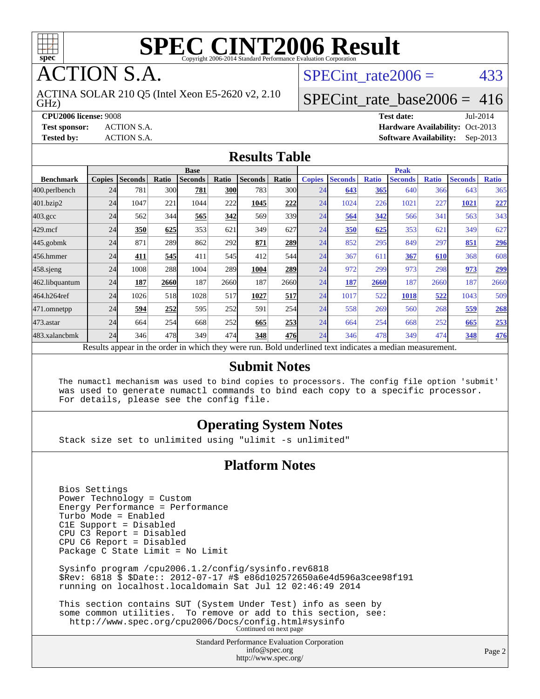

**CTION S.A.** 

GHz) ACTINA SOLAR 210 Q5 (Intel Xeon E5-2620 v2, 2.10 SPECint rate $2006 = 433$ 

#### [SPECint\\_rate\\_base2006 =](http://www.spec.org/auto/cpu2006/Docs/result-fields.html#SPECintratebase2006) 416

**[CPU2006 license:](http://www.spec.org/auto/cpu2006/Docs/result-fields.html#CPU2006license)** 9008 **[Test date:](http://www.spec.org/auto/cpu2006/Docs/result-fields.html#Testdate)** Jul-2014 **[Test sponsor:](http://www.spec.org/auto/cpu2006/Docs/result-fields.html#Testsponsor)** ACTION S.A. **[Hardware Availability:](http://www.spec.org/auto/cpu2006/Docs/result-fields.html#HardwareAvailability)** Oct-2013 **[Tested by:](http://www.spec.org/auto/cpu2006/Docs/result-fields.html#Testedby)** ACTION S.A. **[Software Availability:](http://www.spec.org/auto/cpu2006/Docs/result-fields.html#SoftwareAvailability)** Sep-2013

#### **[Results Table](http://www.spec.org/auto/cpu2006/Docs/result-fields.html#ResultsTable)**

|                                                                                                          | <b>Base</b>   |                |       |                |            |                |       | <b>Peak</b>   |                |              |                |              |                |              |
|----------------------------------------------------------------------------------------------------------|---------------|----------------|-------|----------------|------------|----------------|-------|---------------|----------------|--------------|----------------|--------------|----------------|--------------|
| <b>Benchmark</b>                                                                                         | <b>Copies</b> | <b>Seconds</b> | Ratio | <b>Seconds</b> | Ratio      | <b>Seconds</b> | Ratio | <b>Copies</b> | <b>Seconds</b> | <b>Ratio</b> | <b>Seconds</b> | <b>Ratio</b> | <b>Seconds</b> | <b>Ratio</b> |
| 400.perlbench                                                                                            | 24            | 781            | 300   | 781            | <b>300</b> | 783            | 300l  | 24            | 643            | 365          | 640            | 366          | 643            | 365          |
| 401.bzip2                                                                                                | 24            | 1047           | 221   | 1044           | 222        | 1045           | 222   | 24            | 1024           | 226          | 1021           | 227          | 1021           | 227          |
| $403.\mathrm{gcc}$                                                                                       | 24            | 562            | 344   | 565            | 342        | 569            | 339   | 24            | 564            | 342          | 566            | 341          | 563            | 343          |
| $429$ .mcf                                                                                               | 24            | 350            | 625   | 353            | 621        | 349            | 627   | 24            | 350            | 625          | 353            | 621          | 349            | 627          |
| $445$ .gobmk                                                                                             | 24            | 871            | 289   | 862            | 292        | 871            | 289   | 24            | 852            | 295          | 849            | 297          | 851            | <u>296</u>   |
| 456.hmmer                                                                                                | 24            | 411            | 545   | 411            | 545        | 412            | 544   | 24            | 367            | 611          | 367            | 610          | 368            | 608          |
| $458$ .sjeng                                                                                             | 24            | 1008           | 288   | 1004           | 289        | 1004           | 289   | 24            | 972            | 299          | 973            | 298          | 973            | 299          |
| 462.libquantum                                                                                           | 24            | 187            | 2660  | 187            | 2660       | 187            | 2660  | 24            | 187            | 2660         | 187            | 2660         | 187            | 2660         |
| 464.h264ref                                                                                              | 24            | 1026           | 518   | 1028           | 517        | 1027           | 517   | 24            | 1017           | 522          | 1018           | 522          | 1043           | 509          |
| 471.omnetpp                                                                                              | 24            | 594            | 252   | 595            | 252        | 591            | 254   | 24            | 558            | 269          | 560            | 268          | 559            | 268          |
| 473.astar                                                                                                | 24            | 664            | 254   | 668            | 252        | 665            | 253   | 24            | 664            | 254          | 668            | 252          | 665            | 253          |
| 483.xalancbmk                                                                                            | 24            | 346            | 478   | 349            | 474        | 348            | 476   | 24            | 346            | 478          | 349            | 474          | 348            | 476          |
| Results appear in the order in which they were run. Bold underlined text indicates a median measurement. |               |                |       |                |            |                |       |               |                |              |                |              |                |              |

#### **[Submit Notes](http://www.spec.org/auto/cpu2006/Docs/result-fields.html#SubmitNotes)**

 The numactl mechanism was used to bind copies to processors. The config file option 'submit' was used to generate numactl commands to bind each copy to a specific processor. For details, please see the config file.

#### **[Operating System Notes](http://www.spec.org/auto/cpu2006/Docs/result-fields.html#OperatingSystemNotes)**

Stack size set to unlimited using "ulimit -s unlimited"

#### **[Platform Notes](http://www.spec.org/auto/cpu2006/Docs/result-fields.html#PlatformNotes)**

 Bios Settings Power Technology = Custom Energy Performance = Performance Turbo Mode = Enabled C1E Support = Disabled CPU C3 Report = Disabled CPU C6 Report = Disabled Package C State Limit = No Limit Sysinfo program /cpu2006.1.2/config/sysinfo.rev6818 \$Rev: 6818 \$ \$Date:: 2012-07-17 #\$ e86d102572650a6e4d596a3cee98f191 running on localhost.localdomain Sat Jul 12 02:46:49 2014 This section contains SUT (System Under Test) info as seen by some common utilities. To remove or add to this section, see: <http://www.spec.org/cpu2006/Docs/config.html#sysinfo> Continued on next page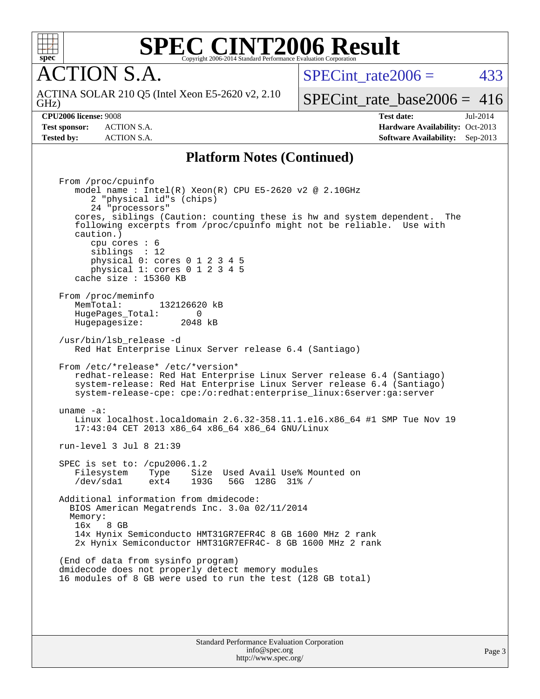

GHz)

## **[SPEC CINT2006 Result](http://www.spec.org/auto/cpu2006/Docs/result-fields.html#SPECCINT2006Result)**

**CTION S.A.** 

ACTINA SOLAR 210 Q5 (Intel Xeon E5-2620 v2, 2.10

SPECint rate $2006 = 433$ 

[SPECint\\_rate\\_base2006 =](http://www.spec.org/auto/cpu2006/Docs/result-fields.html#SPECintratebase2006) 416

**[CPU2006 license:](http://www.spec.org/auto/cpu2006/Docs/result-fields.html#CPU2006license)** 9008 **[Test date:](http://www.spec.org/auto/cpu2006/Docs/result-fields.html#Testdate)** Jul-2014 **[Test sponsor:](http://www.spec.org/auto/cpu2006/Docs/result-fields.html#Testsponsor)** ACTION S.A. **[Hardware Availability:](http://www.spec.org/auto/cpu2006/Docs/result-fields.html#HardwareAvailability)** Oct-2013 **[Tested by:](http://www.spec.org/auto/cpu2006/Docs/result-fields.html#Testedby)** ACTION S.A. **[Software Availability:](http://www.spec.org/auto/cpu2006/Docs/result-fields.html#SoftwareAvailability)** Sep-2013

#### **[Platform Notes \(Continued\)](http://www.spec.org/auto/cpu2006/Docs/result-fields.html#PlatformNotes)**

 From /proc/cpuinfo model name : Intel(R) Xeon(R) CPU E5-2620 v2 @ 2.10GHz 2 "physical id"s (chips) 24 "processors" cores, siblings (Caution: counting these is hw and system dependent. The following excerpts from /proc/cpuinfo might not be reliable. Use with caution.) cpu cores : 6 siblings : 12 physical 0: cores 0 1 2 3 4 5 physical 1: cores 0 1 2 3 4 5 cache size : 15360 KB From /proc/meminfo MemTotal: 132126620 kB<br>HugePages Total: 0 HugePages\_Total: 0 Hugepagesize: 2048 kB /usr/bin/lsb\_release -d Red Hat Enterprise Linux Server release 6.4 (Santiago) From /etc/\*release\* /etc/\*version\* redhat-release: Red Hat Enterprise Linux Server release 6.4 (Santiago) system-release: Red Hat Enterprise Linux Server release 6.4 (Santiago) system-release-cpe: cpe:/o:redhat:enterprise\_linux:6server:ga:server uname -a: Linux localhost.localdomain 2.6.32-358.11.1.el6.x86\_64 #1 SMP Tue Nov 19 17:43:04 CET 2013 x86\_64 x86\_64 x86\_64 GNU/Linux run-level 3 Jul 8 21:39 SPEC is set to: /cpu2006.1.2<br>Filesystem Type Size Type Size Used Avail Use% Mounted on /dev/sda1 ext4 193G 56G 128G 31% / Additional information from dmidecode: BIOS American Megatrends Inc. 3.0a 02/11/2014 Memory: 16x 8 GB 14x Hynix Semiconducto HMT31GR7EFR4C 8 GB 1600 MHz 2 rank 2x Hynix Semiconductor HMT31GR7EFR4C- 8 GB 1600 MHz 2 rank (End of data from sysinfo program) dmidecode does not properly detect memory modules 16 modules of 8 GB were used to run the test (128 GB total)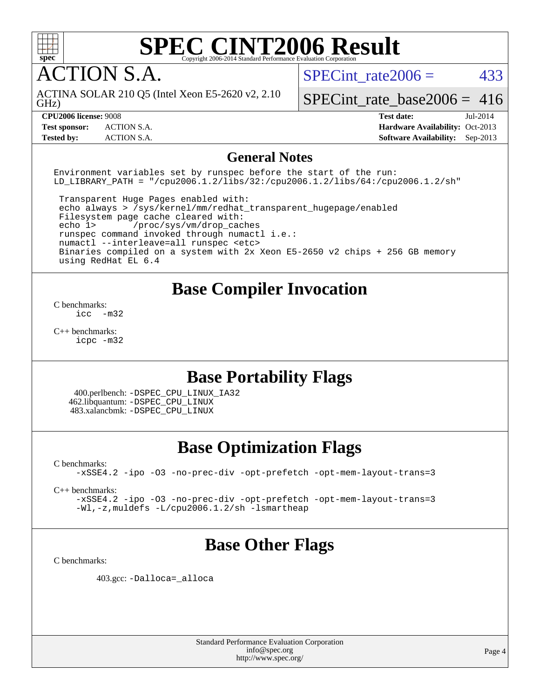

ACTION S.A.

SPECint rate $2006 = 433$ 

GHz) ACTINA SOLAR 210 Q5 (Intel Xeon E5-2620 v2, 2.10

[SPECint\\_rate\\_base2006 =](http://www.spec.org/auto/cpu2006/Docs/result-fields.html#SPECintratebase2006)  $416$ 

**[CPU2006 license:](http://www.spec.org/auto/cpu2006/Docs/result-fields.html#CPU2006license)** 9008 **[Test date:](http://www.spec.org/auto/cpu2006/Docs/result-fields.html#Testdate)** Jul-2014 **[Test sponsor:](http://www.spec.org/auto/cpu2006/Docs/result-fields.html#Testsponsor)** ACTION S.A. **[Hardware Availability:](http://www.spec.org/auto/cpu2006/Docs/result-fields.html#HardwareAvailability)** Oct-2013 **[Tested by:](http://www.spec.org/auto/cpu2006/Docs/result-fields.html#Testedby)** ACTION S.A. **[Software Availability:](http://www.spec.org/auto/cpu2006/Docs/result-fields.html#SoftwareAvailability)** Sep-2013

#### **[General Notes](http://www.spec.org/auto/cpu2006/Docs/result-fields.html#GeneralNotes)**

Environment variables set by runspec before the start of the run: LD LIBRARY PATH = "/cpu2006.1.2/libs/32:/cpu2006.1.2/libs/64:/cpu2006.1.2/sh"

 Transparent Huge Pages enabled with: echo always > /sys/kernel/mm/redhat\_transparent\_hugepage/enabled Filesystem page cache cleared with: echo 1> /proc/sys/vm/drop\_caches runspec command invoked through numactl i.e.: numactl --interleave=all runspec <etc> Binaries compiled on a system with 2x Xeon E5-2650 v2 chips + 256 GB memory using RedHat EL 6.4

#### **[Base Compiler Invocation](http://www.spec.org/auto/cpu2006/Docs/result-fields.html#BaseCompilerInvocation)**

[C benchmarks](http://www.spec.org/auto/cpu2006/Docs/result-fields.html#Cbenchmarks):  $inc -m32$ 

[C++ benchmarks:](http://www.spec.org/auto/cpu2006/Docs/result-fields.html#CXXbenchmarks) [icpc -m32](http://www.spec.org/cpu2006/results/res2014q3/cpu2006-20140714-30401.flags.html#user_CXXbase_intel_icpc_4e5a5ef1a53fd332b3c49e69c3330699)

### **[Base Portability Flags](http://www.spec.org/auto/cpu2006/Docs/result-fields.html#BasePortabilityFlags)**

 400.perlbench: [-DSPEC\\_CPU\\_LINUX\\_IA32](http://www.spec.org/cpu2006/results/res2014q3/cpu2006-20140714-30401.flags.html#b400.perlbench_baseCPORTABILITY_DSPEC_CPU_LINUX_IA32) 462.libquantum: [-DSPEC\\_CPU\\_LINUX](http://www.spec.org/cpu2006/results/res2014q3/cpu2006-20140714-30401.flags.html#b462.libquantum_baseCPORTABILITY_DSPEC_CPU_LINUX) 483.xalancbmk: [-DSPEC\\_CPU\\_LINUX](http://www.spec.org/cpu2006/results/res2014q3/cpu2006-20140714-30401.flags.html#b483.xalancbmk_baseCXXPORTABILITY_DSPEC_CPU_LINUX)

### **[Base Optimization Flags](http://www.spec.org/auto/cpu2006/Docs/result-fields.html#BaseOptimizationFlags)**

[C benchmarks](http://www.spec.org/auto/cpu2006/Docs/result-fields.html#Cbenchmarks):

[-xSSE4.2](http://www.spec.org/cpu2006/results/res2014q3/cpu2006-20140714-30401.flags.html#user_CCbase_f-xSSE42_f91528193cf0b216347adb8b939d4107) [-ipo](http://www.spec.org/cpu2006/results/res2014q3/cpu2006-20140714-30401.flags.html#user_CCbase_f-ipo) [-O3](http://www.spec.org/cpu2006/results/res2014q3/cpu2006-20140714-30401.flags.html#user_CCbase_f-O3) [-no-prec-div](http://www.spec.org/cpu2006/results/res2014q3/cpu2006-20140714-30401.flags.html#user_CCbase_f-no-prec-div) [-opt-prefetch](http://www.spec.org/cpu2006/results/res2014q3/cpu2006-20140714-30401.flags.html#user_CCbase_f-opt-prefetch) [-opt-mem-layout-trans=3](http://www.spec.org/cpu2006/results/res2014q3/cpu2006-20140714-30401.flags.html#user_CCbase_f-opt-mem-layout-trans_a7b82ad4bd7abf52556d4961a2ae94d5)

[C++ benchmarks:](http://www.spec.org/auto/cpu2006/Docs/result-fields.html#CXXbenchmarks)

[-xSSE4.2](http://www.spec.org/cpu2006/results/res2014q3/cpu2006-20140714-30401.flags.html#user_CXXbase_f-xSSE42_f91528193cf0b216347adb8b939d4107) [-ipo](http://www.spec.org/cpu2006/results/res2014q3/cpu2006-20140714-30401.flags.html#user_CXXbase_f-ipo) [-O3](http://www.spec.org/cpu2006/results/res2014q3/cpu2006-20140714-30401.flags.html#user_CXXbase_f-O3) [-no-prec-div](http://www.spec.org/cpu2006/results/res2014q3/cpu2006-20140714-30401.flags.html#user_CXXbase_f-no-prec-div) [-opt-prefetch](http://www.spec.org/cpu2006/results/res2014q3/cpu2006-20140714-30401.flags.html#user_CXXbase_f-opt-prefetch) [-opt-mem-layout-trans=3](http://www.spec.org/cpu2006/results/res2014q3/cpu2006-20140714-30401.flags.html#user_CXXbase_f-opt-mem-layout-trans_a7b82ad4bd7abf52556d4961a2ae94d5) [-Wl,-z,muldefs](http://www.spec.org/cpu2006/results/res2014q3/cpu2006-20140714-30401.flags.html#user_CXXbase_link_force_multiple1_74079c344b956b9658436fd1b6dd3a8a) [-L/cpu2006.1.2/sh -lsmartheap](http://www.spec.org/cpu2006/results/res2014q3/cpu2006-20140714-30401.flags.html#user_CXXbase_SmartHeap_bfa5b22c0e716eb2d3a2496ec83a2e29)

### **[Base Other Flags](http://www.spec.org/auto/cpu2006/Docs/result-fields.html#BaseOtherFlags)**

[C benchmarks](http://www.spec.org/auto/cpu2006/Docs/result-fields.html#Cbenchmarks):

403.gcc: [-Dalloca=\\_alloca](http://www.spec.org/cpu2006/results/res2014q3/cpu2006-20140714-30401.flags.html#b403.gcc_baseEXTRA_CFLAGS_Dalloca_be3056838c12de2578596ca5467af7f3)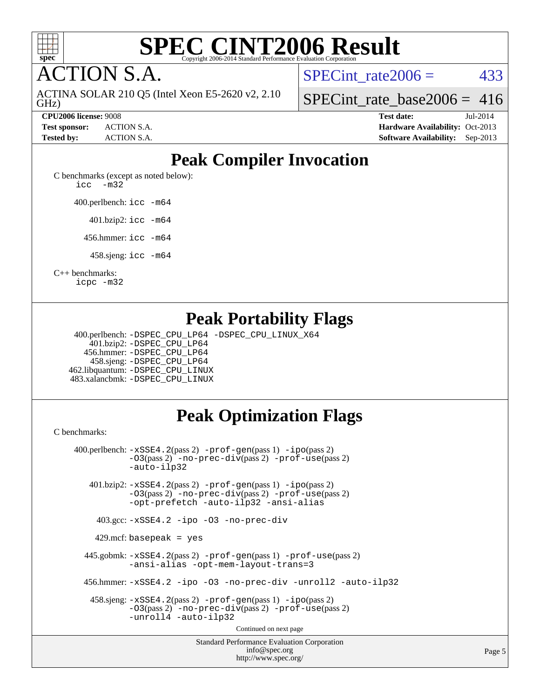

**CTION S.A.** 

GHz) ACTINA SOLAR 210 Q5 (Intel Xeon E5-2620 v2, 2.10 SPECint rate $2006 = 433$ 

[SPECint\\_rate\\_base2006 =](http://www.spec.org/auto/cpu2006/Docs/result-fields.html#SPECintratebase2006)  $416$ 

**[CPU2006 license:](http://www.spec.org/auto/cpu2006/Docs/result-fields.html#CPU2006license)** 9008 **[Test date:](http://www.spec.org/auto/cpu2006/Docs/result-fields.html#Testdate)** Jul-2014 **[Test sponsor:](http://www.spec.org/auto/cpu2006/Docs/result-fields.html#Testsponsor)** ACTION S.A. **[Hardware Availability:](http://www.spec.org/auto/cpu2006/Docs/result-fields.html#HardwareAvailability)** Oct-2013 **[Tested by:](http://www.spec.org/auto/cpu2006/Docs/result-fields.html#Testedby)** ACTION S.A. **[Software Availability:](http://www.spec.org/auto/cpu2006/Docs/result-fields.html#SoftwareAvailability)** Sep-2013

## **[Peak Compiler Invocation](http://www.spec.org/auto/cpu2006/Docs/result-fields.html#PeakCompilerInvocation)**

[C benchmarks \(except as noted below\)](http://www.spec.org/auto/cpu2006/Docs/result-fields.html#Cbenchmarksexceptasnotedbelow): [icc -m32](http://www.spec.org/cpu2006/results/res2014q3/cpu2006-20140714-30401.flags.html#user_CCpeak_intel_icc_5ff4a39e364c98233615fdd38438c6f2)

400.perlbench: [icc -m64](http://www.spec.org/cpu2006/results/res2014q3/cpu2006-20140714-30401.flags.html#user_peakCCLD400_perlbench_intel_icc_64bit_bda6cc9af1fdbb0edc3795bac97ada53)

401.bzip2: [icc -m64](http://www.spec.org/cpu2006/results/res2014q3/cpu2006-20140714-30401.flags.html#user_peakCCLD401_bzip2_intel_icc_64bit_bda6cc9af1fdbb0edc3795bac97ada53)

456.hmmer: [icc -m64](http://www.spec.org/cpu2006/results/res2014q3/cpu2006-20140714-30401.flags.html#user_peakCCLD456_hmmer_intel_icc_64bit_bda6cc9af1fdbb0edc3795bac97ada53)

458.sjeng: [icc -m64](http://www.spec.org/cpu2006/results/res2014q3/cpu2006-20140714-30401.flags.html#user_peakCCLD458_sjeng_intel_icc_64bit_bda6cc9af1fdbb0edc3795bac97ada53)

[C++ benchmarks:](http://www.spec.org/auto/cpu2006/Docs/result-fields.html#CXXbenchmarks)

[icpc -m32](http://www.spec.org/cpu2006/results/res2014q3/cpu2006-20140714-30401.flags.html#user_CXXpeak_intel_icpc_4e5a5ef1a53fd332b3c49e69c3330699)

### **[Peak Portability Flags](http://www.spec.org/auto/cpu2006/Docs/result-fields.html#PeakPortabilityFlags)**

 400.perlbench: [-DSPEC\\_CPU\\_LP64](http://www.spec.org/cpu2006/results/res2014q3/cpu2006-20140714-30401.flags.html#b400.perlbench_peakCPORTABILITY_DSPEC_CPU_LP64) [-DSPEC\\_CPU\\_LINUX\\_X64](http://www.spec.org/cpu2006/results/res2014q3/cpu2006-20140714-30401.flags.html#b400.perlbench_peakCPORTABILITY_DSPEC_CPU_LINUX_X64) 401.bzip2: [-DSPEC\\_CPU\\_LP64](http://www.spec.org/cpu2006/results/res2014q3/cpu2006-20140714-30401.flags.html#suite_peakCPORTABILITY401_bzip2_DSPEC_CPU_LP64) 456.hmmer: [-DSPEC\\_CPU\\_LP64](http://www.spec.org/cpu2006/results/res2014q3/cpu2006-20140714-30401.flags.html#suite_peakCPORTABILITY456_hmmer_DSPEC_CPU_LP64) 458.sjeng: [-DSPEC\\_CPU\\_LP64](http://www.spec.org/cpu2006/results/res2014q3/cpu2006-20140714-30401.flags.html#suite_peakCPORTABILITY458_sjeng_DSPEC_CPU_LP64) 462.libquantum: [-DSPEC\\_CPU\\_LINUX](http://www.spec.org/cpu2006/results/res2014q3/cpu2006-20140714-30401.flags.html#b462.libquantum_peakCPORTABILITY_DSPEC_CPU_LINUX) 483.xalancbmk: [-DSPEC\\_CPU\\_LINUX](http://www.spec.org/cpu2006/results/res2014q3/cpu2006-20140714-30401.flags.html#b483.xalancbmk_peakCXXPORTABILITY_DSPEC_CPU_LINUX)

### **[Peak Optimization Flags](http://www.spec.org/auto/cpu2006/Docs/result-fields.html#PeakOptimizationFlags)**

[C benchmarks](http://www.spec.org/auto/cpu2006/Docs/result-fields.html#Cbenchmarks):

Standard Performance Evaluation Corporation [info@spec.org](mailto:info@spec.org) 400.perlbench: [-xSSE4.2](http://www.spec.org/cpu2006/results/res2014q3/cpu2006-20140714-30401.flags.html#user_peakPASS2_CFLAGSPASS2_LDCFLAGS400_perlbench_f-xSSE42_f91528193cf0b216347adb8b939d4107)(pass 2) [-prof-gen](http://www.spec.org/cpu2006/results/res2014q3/cpu2006-20140714-30401.flags.html#user_peakPASS1_CFLAGSPASS1_LDCFLAGS400_perlbench_prof_gen_e43856698f6ca7b7e442dfd80e94a8fc)(pass 1) [-ipo](http://www.spec.org/cpu2006/results/res2014q3/cpu2006-20140714-30401.flags.html#user_peakPASS2_CFLAGSPASS2_LDCFLAGS400_perlbench_f-ipo)(pass 2) [-O3](http://www.spec.org/cpu2006/results/res2014q3/cpu2006-20140714-30401.flags.html#user_peakPASS2_CFLAGSPASS2_LDCFLAGS400_perlbench_f-O3)(pass 2) [-no-prec-div](http://www.spec.org/cpu2006/results/res2014q3/cpu2006-20140714-30401.flags.html#user_peakPASS2_CFLAGSPASS2_LDCFLAGS400_perlbench_f-no-prec-div)(pass 2) [-prof-use](http://www.spec.org/cpu2006/results/res2014q3/cpu2006-20140714-30401.flags.html#user_peakPASS2_CFLAGSPASS2_LDCFLAGS400_perlbench_prof_use_bccf7792157ff70d64e32fe3e1250b55)(pass 2) [-auto-ilp32](http://www.spec.org/cpu2006/results/res2014q3/cpu2006-20140714-30401.flags.html#user_peakCOPTIMIZE400_perlbench_f-auto-ilp32) 401.bzip2: [-xSSE4.2](http://www.spec.org/cpu2006/results/res2014q3/cpu2006-20140714-30401.flags.html#user_peakPASS2_CFLAGSPASS2_LDCFLAGS401_bzip2_f-xSSE42_f91528193cf0b216347adb8b939d4107)(pass 2) [-prof-gen](http://www.spec.org/cpu2006/results/res2014q3/cpu2006-20140714-30401.flags.html#user_peakPASS1_CFLAGSPASS1_LDCFLAGS401_bzip2_prof_gen_e43856698f6ca7b7e442dfd80e94a8fc)(pass 1) [-ipo](http://www.spec.org/cpu2006/results/res2014q3/cpu2006-20140714-30401.flags.html#user_peakPASS2_CFLAGSPASS2_LDCFLAGS401_bzip2_f-ipo)(pass 2) [-O3](http://www.spec.org/cpu2006/results/res2014q3/cpu2006-20140714-30401.flags.html#user_peakPASS2_CFLAGSPASS2_LDCFLAGS401_bzip2_f-O3)(pass 2) [-no-prec-div](http://www.spec.org/cpu2006/results/res2014q3/cpu2006-20140714-30401.flags.html#user_peakPASS2_CFLAGSPASS2_LDCFLAGS401_bzip2_f-no-prec-div)(pass 2) [-prof-use](http://www.spec.org/cpu2006/results/res2014q3/cpu2006-20140714-30401.flags.html#user_peakPASS2_CFLAGSPASS2_LDCFLAGS401_bzip2_prof_use_bccf7792157ff70d64e32fe3e1250b55)(pass 2) [-opt-prefetch](http://www.spec.org/cpu2006/results/res2014q3/cpu2006-20140714-30401.flags.html#user_peakCOPTIMIZE401_bzip2_f-opt-prefetch) [-auto-ilp32](http://www.spec.org/cpu2006/results/res2014q3/cpu2006-20140714-30401.flags.html#user_peakCOPTIMIZE401_bzip2_f-auto-ilp32) [-ansi-alias](http://www.spec.org/cpu2006/results/res2014q3/cpu2006-20140714-30401.flags.html#user_peakCOPTIMIZE401_bzip2_f-ansi-alias) 403.gcc: [-xSSE4.2](http://www.spec.org/cpu2006/results/res2014q3/cpu2006-20140714-30401.flags.html#user_peakCOPTIMIZE403_gcc_f-xSSE42_f91528193cf0b216347adb8b939d4107) [-ipo](http://www.spec.org/cpu2006/results/res2014q3/cpu2006-20140714-30401.flags.html#user_peakCOPTIMIZE403_gcc_f-ipo) [-O3](http://www.spec.org/cpu2006/results/res2014q3/cpu2006-20140714-30401.flags.html#user_peakCOPTIMIZE403_gcc_f-O3) [-no-prec-div](http://www.spec.org/cpu2006/results/res2014q3/cpu2006-20140714-30401.flags.html#user_peakCOPTIMIZE403_gcc_f-no-prec-div) 429.mcf: basepeak = yes 445.gobmk: [-xSSE4.2](http://www.spec.org/cpu2006/results/res2014q3/cpu2006-20140714-30401.flags.html#user_peakPASS2_CFLAGSPASS2_LDCFLAGS445_gobmk_f-xSSE42_f91528193cf0b216347adb8b939d4107)(pass 2) [-prof-gen](http://www.spec.org/cpu2006/results/res2014q3/cpu2006-20140714-30401.flags.html#user_peakPASS1_CFLAGSPASS1_LDCFLAGS445_gobmk_prof_gen_e43856698f6ca7b7e442dfd80e94a8fc)(pass 1) [-prof-use](http://www.spec.org/cpu2006/results/res2014q3/cpu2006-20140714-30401.flags.html#user_peakPASS2_CFLAGSPASS2_LDCFLAGS445_gobmk_prof_use_bccf7792157ff70d64e32fe3e1250b55)(pass 2) [-ansi-alias](http://www.spec.org/cpu2006/results/res2014q3/cpu2006-20140714-30401.flags.html#user_peakCOPTIMIZE445_gobmk_f-ansi-alias) [-opt-mem-layout-trans=3](http://www.spec.org/cpu2006/results/res2014q3/cpu2006-20140714-30401.flags.html#user_peakCOPTIMIZE445_gobmk_f-opt-mem-layout-trans_a7b82ad4bd7abf52556d4961a2ae94d5) 456.hmmer: [-xSSE4.2](http://www.spec.org/cpu2006/results/res2014q3/cpu2006-20140714-30401.flags.html#user_peakCOPTIMIZE456_hmmer_f-xSSE42_f91528193cf0b216347adb8b939d4107) [-ipo](http://www.spec.org/cpu2006/results/res2014q3/cpu2006-20140714-30401.flags.html#user_peakCOPTIMIZE456_hmmer_f-ipo) [-O3](http://www.spec.org/cpu2006/results/res2014q3/cpu2006-20140714-30401.flags.html#user_peakCOPTIMIZE456_hmmer_f-O3) [-no-prec-div](http://www.spec.org/cpu2006/results/res2014q3/cpu2006-20140714-30401.flags.html#user_peakCOPTIMIZE456_hmmer_f-no-prec-div) [-unroll2](http://www.spec.org/cpu2006/results/res2014q3/cpu2006-20140714-30401.flags.html#user_peakCOPTIMIZE456_hmmer_f-unroll_784dae83bebfb236979b41d2422d7ec2) [-auto-ilp32](http://www.spec.org/cpu2006/results/res2014q3/cpu2006-20140714-30401.flags.html#user_peakCOPTIMIZE456_hmmer_f-auto-ilp32) 458.sjeng: [-xSSE4.2](http://www.spec.org/cpu2006/results/res2014q3/cpu2006-20140714-30401.flags.html#user_peakPASS2_CFLAGSPASS2_LDCFLAGS458_sjeng_f-xSSE42_f91528193cf0b216347adb8b939d4107)(pass 2) [-prof-gen](http://www.spec.org/cpu2006/results/res2014q3/cpu2006-20140714-30401.flags.html#user_peakPASS1_CFLAGSPASS1_LDCFLAGS458_sjeng_prof_gen_e43856698f6ca7b7e442dfd80e94a8fc)(pass 1) [-ipo](http://www.spec.org/cpu2006/results/res2014q3/cpu2006-20140714-30401.flags.html#user_peakPASS2_CFLAGSPASS2_LDCFLAGS458_sjeng_f-ipo)(pass 2) [-O3](http://www.spec.org/cpu2006/results/res2014q3/cpu2006-20140714-30401.flags.html#user_peakPASS2_CFLAGSPASS2_LDCFLAGS458_sjeng_f-O3)(pass 2) [-no-prec-div](http://www.spec.org/cpu2006/results/res2014q3/cpu2006-20140714-30401.flags.html#user_peakPASS2_CFLAGSPASS2_LDCFLAGS458_sjeng_f-no-prec-div)(pass 2) [-prof-use](http://www.spec.org/cpu2006/results/res2014q3/cpu2006-20140714-30401.flags.html#user_peakPASS2_CFLAGSPASS2_LDCFLAGS458_sjeng_prof_use_bccf7792157ff70d64e32fe3e1250b55)(pass 2) [-unroll4](http://www.spec.org/cpu2006/results/res2014q3/cpu2006-20140714-30401.flags.html#user_peakCOPTIMIZE458_sjeng_f-unroll_4e5e4ed65b7fd20bdcd365bec371b81f) [-auto-ilp32](http://www.spec.org/cpu2006/results/res2014q3/cpu2006-20140714-30401.flags.html#user_peakCOPTIMIZE458_sjeng_f-auto-ilp32) Continued on next page

<http://www.spec.org/>